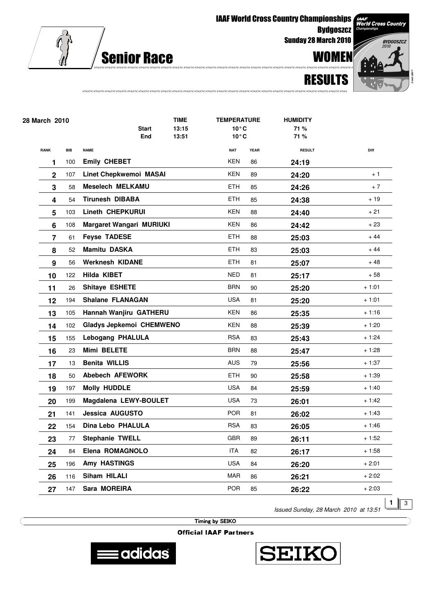

IAAF World Cross Country Championships

**Bydgoszcz** Sunday 28 March 2010

**BYDGOSZCZ** 

**AAF**<br>Vorld Cross Country



| 28 March 2010 |                |            | <b>TIME</b>                   |                     | <b>TEMPERATURE</b> |                                  | <b>HUMIDITY</b> |               |         |
|---------------|----------------|------------|-------------------------------|---------------------|--------------------|----------------------------------|-----------------|---------------|---------|
|               |                |            |                               | <b>Start</b><br>End | 13:15<br>13:51     | $10^{\circ}$ C<br>$10^{\circ}$ C |                 | 71 %<br>71 %  |         |
|               |                |            |                               |                     |                    |                                  |                 |               |         |
|               | <b>RANK</b>    | <b>BIB</b> | <b>NAME</b>                   |                     |                    | <b>NAT</b>                       | <b>YEAR</b>     | <b>RESULT</b> | Diff    |
|               | 1              | 100        | <b>Emily CHEBET</b>           |                     |                    | <b>KEN</b>                       | 86              | 24:19         |         |
|               | $\mathbf{2}$   | 107        | <b>Linet Chepkwemoi MASAI</b> |                     |                    | <b>KEN</b>                       | 89              | 24:20         | $+1$    |
|               | 3              | 58         | <b>Meselech MELKAMU</b>       |                     |                    | <b>ETH</b>                       | 85              | 24:26         | $+7$    |
|               | 4              | 54         | <b>Tirunesh DIBABA</b>        |                     |                    | <b>ETH</b>                       | 85              | 24:38         | $+19$   |
|               | 5              | 103        | <b>Lineth CHEPKURUI</b>       |                     |                    | KEN                              | 88              | 24:40         | + 21    |
|               | 6              | 108        | Margaret Wangari MURIUKI      |                     |                    | <b>KEN</b>                       | 86              | 24:42         | + 23    |
|               | $\overline{7}$ | 61         | <b>Feyse TADESE</b>           |                     |                    | <b>ETH</b>                       | 88              | 25:03         | $+44$   |
|               | 8              | 52         | <b>Mamitu DASKA</b>           |                     |                    | <b>ETH</b>                       | 83              | 25:03         | $+44$   |
|               | 9              | 56         | <b>Werknesh KIDANE</b>        |                     |                    | ETH                              | 81              | 25:07         | $+48$   |
|               | 10             | 122        | Hilda KIBET                   |                     |                    | <b>NED</b>                       | 81              | 25:17         | $+58$   |
|               | 11             | 26         | Shitaye ESHETE                |                     |                    | <b>BRN</b>                       | 90              | 25:20         | $+1:01$ |
|               | 12             | 194        | <b>Shalane FLANAGAN</b>       |                     |                    | <b>USA</b>                       | 81              | 25:20         | $+1:01$ |
|               | 13             | 105        | Hannah Wanjiru GATHERU        |                     |                    | KEN                              | 86              | 25:35         | $+1:16$ |
|               | 14             | 102        | Gladys Jepkemoi CHEMWENO      |                     |                    | <b>KEN</b>                       | 88              | 25:39         | $+1:20$ |
|               | 15             | 155        | Lebogang PHALULA              |                     |                    | <b>RSA</b>                       | 83              | 25:43         | $+1:24$ |
|               | 16             | 23         | Mimi BELETE                   |                     |                    | <b>BRN</b>                       | 88              | 25:47         | $+1:28$ |
|               | 17             | 13         | <b>Benita WILLIS</b>          |                     |                    | AUS                              | 79              | 25:56         | $+1:37$ |
|               | 18             | 50         | Abebech AFEWORK               |                     |                    | <b>ETH</b>                       | 90              | 25:58         | $+1:39$ |
|               | 19             | 197        | <b>Molly HUDDLE</b>           |                     |                    | <b>USA</b>                       | 84              | 25:59         | $+1:40$ |
|               | 20             | 199        | Magdalena LEWY-BOULET         |                     |                    | <b>USA</b>                       | 73              | 26:01         | $+1:42$ |
|               | 21             | 141        | <b>Jessica AUGUSTO</b>        |                     |                    | <b>POR</b>                       | 81              | 26:02         | $+1:43$ |
|               | 22             | 154        | Dina Lebo PHALULA             |                     |                    | <b>RSA</b>                       | 83              | 26:05         | + 1:46  |
|               | 23             | 77         | <b>Stephanie TWELL</b>        |                     |                    | <b>GBR</b>                       | 89              | 26:11         | $+1:52$ |
|               | 24             | 84         | Elena ROMAGNOLO               |                     |                    | ITA                              | 82              | 26:17         | + 1:58  |
|               | 25             | 196        | Amy HASTINGS                  |                     |                    | <b>USA</b>                       | 84              | 26:20         | $+2:01$ |
|               | 26             | 116        | Siham HILALI                  |                     |                    | <b>MAR</b>                       | 86              | 26:21         | $+2:02$ |
|               | 27             | 147        | Sara MOREIRA                  |                     |                    | <b>POR</b>                       | 85              | 26:22         | $+2:03$ |

ATHLETIC ATHLETIC ATHLETIC ATHLETIC ATHLETIC ATHLETIC ATHLETIC ATHLETIC ATHLETIC ATHLETIC ATHLETIC ATHLETIC ATHLETIC ATHLETIC ATHLETIC ATHLETIC ATHLETIC ATHLETIC ATHLETIC ATHLETIC ATHLETIC ATHLETIC ATHLETIC ATHLE

Issued Sunday, 28 March 2010 at 13:51

 $1 \parallel 3$ 

Timing by SEIKO

**Official IAAF Partners** 



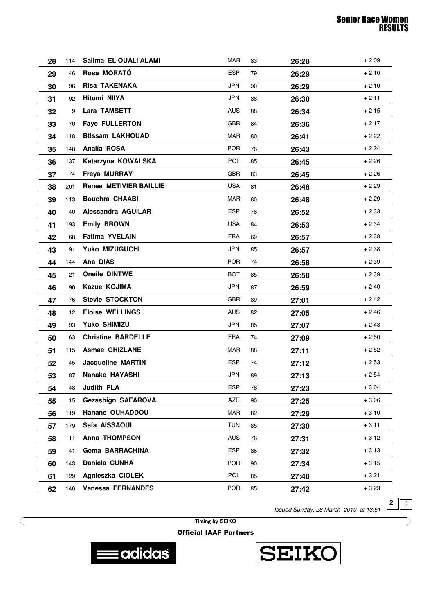| 28 | 114             | Salima EL OUALI ALAMI         | <b>MAR</b> | 83 | 26:28 | $+2:09$ |
|----|-----------------|-------------------------------|------------|----|-------|---------|
| 29 | 46              | Rosa MORATÓ                   | <b>ESP</b> | 79 | 26:29 | $+2:10$ |
| 30 | 96              | <b>Risa TAKENAKA</b>          | <b>JPN</b> | 90 | 26:29 | $+2:10$ |
| 31 | 92              | Hitomi NIIYA                  | <b>JPN</b> | 88 | 26:30 | $+2:11$ |
| 32 | 9               | Lara TAMSETT                  | <b>AUS</b> | 88 | 26:34 | $+2:15$ |
| 33 | 70              | <b>Faye FULLERTON</b>         | <b>GBR</b> | 84 | 26:36 | $+2:17$ |
| 34 | 118             | <b>Btissam LAKHOUAD</b>       | <b>MAR</b> | 80 | 26:41 | $+2:22$ |
| 35 | 148             | Analía ROSA                   | <b>POR</b> | 76 | 26:43 | $+2:24$ |
| 36 | 137             | Katarzyna KOWALSKA            | <b>POL</b> | 85 | 26:45 | $+2:26$ |
| 37 | 74              | Freya MURRAY                  | <b>GBR</b> | 83 | 26:45 | $+2:26$ |
| 38 | 201             | <b>Renee METIVIER BAILLIE</b> | <b>USA</b> | 81 | 26:48 | $+2:29$ |
| 39 | 113             | <b>Bouchra CHAABI</b>         | <b>MAR</b> | 80 | 26:48 | $+2:29$ |
| 40 | 40              | Alessandra AGUILAR            | <b>ESP</b> | 78 | 26:52 | $+2:33$ |
| 41 | 193             | <b>Emily BROWN</b>            | USA        | 84 | 26:53 | $+2:34$ |
| 42 | 68              | <b>Fatima YVELAIN</b>         | <b>FRA</b> | 69 | 26:57 | $+2:38$ |
| 43 | 91              | Yuko MIZUGUCHI                | JPN        | 85 | 26:57 | $+2:38$ |
| 44 | 144             | Ana DIAS                      | <b>POR</b> | 74 | 26:58 | $+2:39$ |
| 45 | 21              | Oneile DINTWE                 | <b>BOT</b> | 85 | 26:58 | $+2:39$ |
| 46 | 90              | Kazue KOJIMA                  | <b>JPN</b> | 87 | 26:59 | $+2:40$ |
| 47 | 76              | <b>Stevie STOCKTON</b>        | <b>GBR</b> | 89 | 27:01 | $+2:42$ |
| 48 | 12 <sup>°</sup> | <b>Eloise WELLINGS</b>        | AUS        | 82 | 27:05 | $+2:46$ |
| 49 | 93              | Yuko SHIMIZU                  | <b>JPN</b> | 85 | 27:07 | $+2:48$ |
| 50 | 63              | <b>Christine BARDELLE</b>     | <b>FRA</b> | 74 | 27:09 | $+2:50$ |
| 51 | 115             | <b>Asmae GHIZLANE</b>         | MAR        | 88 | 27:11 | $+2:52$ |
| 52 | 45              | Jacqueline MARTÍN             | <b>ESP</b> | 74 | 27:12 | $+2:53$ |
| 53 | 87              | Nanako HAYASHI                | JPN        | 89 | 27:13 | $+2:54$ |
| 54 | 48              | Judith PLÁ                    | <b>ESP</b> | 78 | 27:23 | $+3:04$ |
| 55 | 15              | Gezashign SAFAROVA            | AZE        | 90 | 27:25 | $+3:06$ |
| 56 | 119             | Hanane OUHADDOU               | MAR        | 82 | 27:29 | $+3:10$ |
| 57 | 179             | Safa AISSAOUI                 | <b>TUN</b> | 85 | 27:30 | $+3:11$ |
| 58 | 11              | <b>Anna THOMPSON</b>          | AUS        | 76 | 27:31 | $+3:12$ |
| 59 | 41              | Gema BARRACHINA               | <b>ESP</b> | 86 | 27:32 | $+3:13$ |
| 60 | 143             | Daniela CUNHA                 | <b>POR</b> | 90 | 27:34 | $+3:15$ |
| 61 | 129             | Agnieszka CIOLEK              | <b>POL</b> | 85 | 27:40 | $+3:21$ |
| 62 | 146             | <b>Vanessa FERNANDES</b>      | <b>POR</b> | 85 | 27:42 | $+3:23$ |

Issued Sunday, 28 March 2010 at 13:51

**2**  $\sqrt{3}$ 

Timing by SEIKO

**Official IAAF Partners**